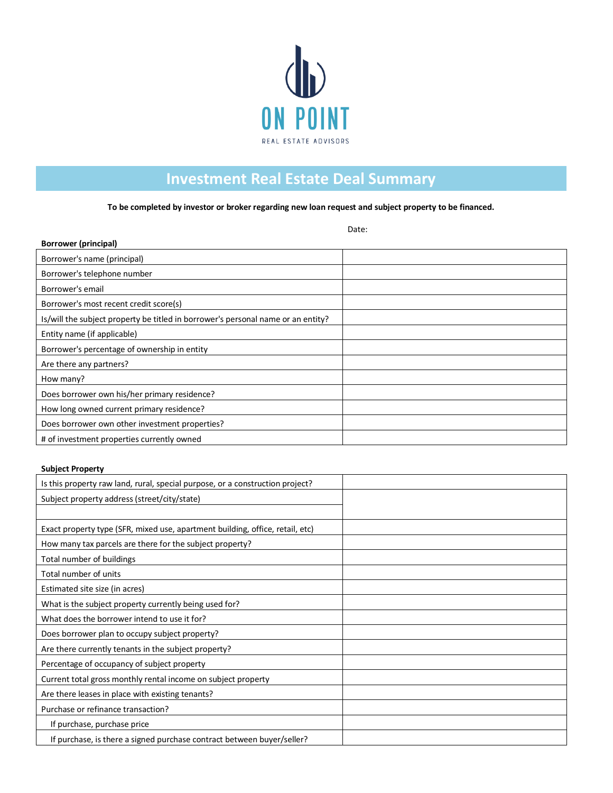

## **Investment Real Estate Deal Summary**

**To be completed by investor or broker regarding new loan request and subject property to be financed.**

Date:

| <b>Borrower (principal)</b>                                                      |  |
|----------------------------------------------------------------------------------|--|
| Borrower's name (principal)                                                      |  |
| Borrower's telephone number                                                      |  |
| Borrower's email                                                                 |  |
| Borrower's most recent credit score(s)                                           |  |
| Is/will the subject property be titled in borrower's personal name or an entity? |  |
| Entity name (if applicable)                                                      |  |
| Borrower's percentage of ownership in entity                                     |  |
| Are there any partners?                                                          |  |
| How many?                                                                        |  |
| Does borrower own his/her primary residence?                                     |  |
| How long owned current primary residence?                                        |  |
| Does borrower own other investment properties?                                   |  |
| # of investment properties currently owned                                       |  |

#### **Subject Property**

| Is this property raw land, rural, special purpose, or a construction project? |  |
|-------------------------------------------------------------------------------|--|
| Subject property address (street/city/state)                                  |  |
|                                                                               |  |
| Exact property type (SFR, mixed use, apartment building, office, retail, etc) |  |
| How many tax parcels are there for the subject property?                      |  |
| Total number of buildings                                                     |  |
| Total number of units                                                         |  |
| Estimated site size (in acres)                                                |  |
| What is the subject property currently being used for?                        |  |
| What does the borrower intend to use it for?                                  |  |
| Does borrower plan to occupy subject property?                                |  |
| Are there currently tenants in the subject property?                          |  |
| Percentage of occupancy of subject property                                   |  |
| Current total gross monthly rental income on subject property                 |  |
| Are there leases in place with existing tenants?                              |  |
| Purchase or refinance transaction?                                            |  |
| If purchase, purchase price                                                   |  |
| If purchase, is there a signed purchase contract between buyer/seller?        |  |